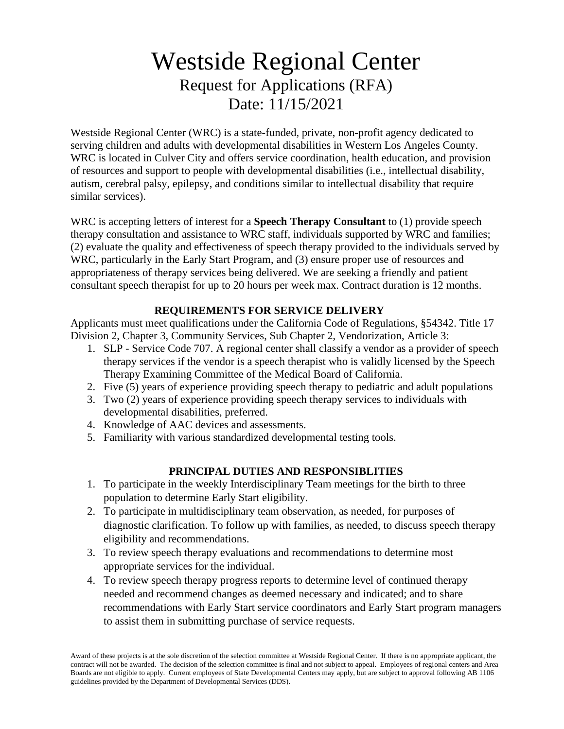# Westside Regional Center Request for Applications (RFA) Date: 11/15/2021

Westside Regional Center (WRC) is a state-funded, private, non-profit agency dedicated to serving children and adults with developmental disabilities in Western Los Angeles County. WRC is located in Culver City and offers service coordination, health education, and provision of resources and support to people with developmental disabilities (i.e., intellectual disability, autism, cerebral palsy, epilepsy, and conditions similar to intellectual disability that require similar services).

WRC is accepting letters of interest for a **Speech Therapy Consultant** to (1) provide speech therapy consultation and assistance to WRC staff, individuals supported by WRC and families; (2) evaluate the quality and effectiveness of speech therapy provided to the individuals served by WRC, particularly in the Early Start Program, and (3) ensure proper use of resources and appropriateness of therapy services being delivered. We are seeking a friendly and patient consultant speech therapist for up to 20 hours per week max. Contract duration is 12 months.

## **REQUIREMENTS FOR SERVICE DELIVERY**

Applicants must meet qualifications under the California Code of Regulations, §54342. Title 17 Division 2, Chapter 3, Community Services, Sub Chapter 2, Vendorization, Article 3:

- 1. SLP Service Code 707. A regional center shall classify a vendor as a provider of speech therapy services if the vendor is a speech therapist who is validly licensed by the Speech Therapy Examining Committee of the Medical Board of California.
- 2. Five (5) years of experience providing speech therapy to pediatric and adult populations
- 3. Two (2) years of experience providing speech therapy services to individuals with developmental disabilities, preferred.
- 4. Knowledge of AAC devices and assessments.
- 5. Familiarity with various standardized developmental testing tools.

### **PRINCIPAL DUTIES AND RESPONSIBLITIES**

- 1. To participate in the weekly Interdisciplinary Team meetings for the birth to three population to determine Early Start eligibility.
- 2. To participate in multidisciplinary team observation, as needed, for purposes of diagnostic clarification. To follow up with families, as needed, to discuss speech therapy eligibility and recommendations.
- 3. To review speech therapy evaluations and recommendations to determine most appropriate services for the individual.
- 4. To review speech therapy progress reports to determine level of continued therapy needed and recommend changes as deemed necessary and indicated; and to share recommendations with Early Start service coordinators and Early Start program managers to assist them in submitting purchase of service requests.

Award of these projects is at the sole discretion of the selection committee at Westside Regional Center. If there is no appropriate applicant, the contract will not be awarded. The decision of the selection committee is final and not subject to appeal. Employees of regional centers and Area Boards are not eligible to apply. Current employees of State Developmental Centers may apply, but are subject to approval following AB 1106 guidelines provided by the Department of Developmental Services (DDS).